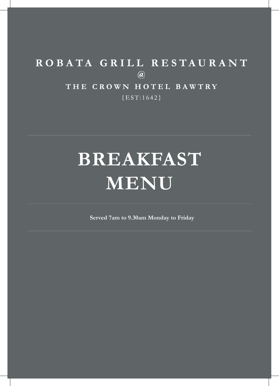# ROBATA GRILL RESTAURANT  $\circledR$ THE CROWN HOTEL BAWTRY  ${EST:1642}$

# **BREAKFAST MENU**

**Served 7am to 9.30am Monday to Friday**